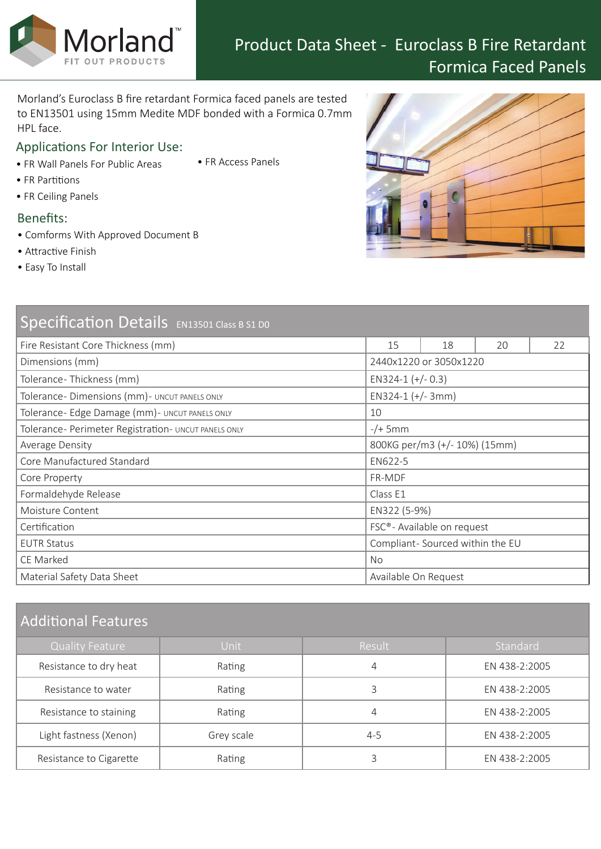Morland's Euroclass B fire retardant Formica faced panels are tested to EN13501 using 15mm Medite MDF bonded with a Formica 0.7mm HPL face.

# Applications For Interior Use:

Morland<sup>®</sup>

- FR Wall Panels For Public Areas
- FR Access Panels

- FR Partitions
- FR Ceiling Panels

## Benefits:

- Comforms With Approved Document B
- Attractive Finish
- Easy To Install

| Specification Details EN13501 Class B S1 D0          |                                 |    |    |    |
|------------------------------------------------------|---------------------------------|----|----|----|
| Fire Resistant Core Thickness (mm)                   | 15                              | 18 | 20 | 22 |
| Dimensions (mm)                                      | 2440x1220 or 3050x1220          |    |    |    |
| Tolerance-Thickness (mm)                             | EN324-1 $(+/- 0.3)$             |    |    |    |
| Tolerance-Dimensions (mm) - UNCUT PANELS ONLY        | $EN324-1 (+/- 3mm)$             |    |    |    |
| Tolerance- Edge Damage (mm) - UNCUT PANELS ONLY      | 10                              |    |    |    |
| Tolerance- Perimeter Registration- UNCUT PANELS ONLY | $-/+$ 5mm                       |    |    |    |
| Average Density                                      | 800KG per/m3 (+/- 10%) (15mm)   |    |    |    |
| Core Manufactured Standard                           | EN622-5                         |    |    |    |
| Core Property                                        | FR-MDF                          |    |    |    |
| Formaldehyde Release                                 | Class E1                        |    |    |    |
| Moisture Content                                     | EN322 (5-9%)                    |    |    |    |
| Certification                                        | FSC®- Available on request      |    |    |    |
| <b>EUTR Status</b>                                   | Compliant-Sourced within the EU |    |    |    |
| CE Marked                                            | <b>No</b>                       |    |    |    |
| Material Safety Data Sheet                           | Available On Request            |    |    |    |

# Additional Features

| <b>Quality Feature</b>  | Unit       | Result  | Standard      |  |
|-------------------------|------------|---------|---------------|--|
| Resistance to dry heat  | Rating     | 4       | EN 438-2:2005 |  |
| Resistance to water     | Rating     | 3       | EN 438-2:2005 |  |
| Resistance to staining  | Rating     | 4       | EN 438-2:2005 |  |
| Light fastness (Xenon)  | Grey scale | $4 - 5$ | EN 438-2:2005 |  |
| Resistance to Cigarette | Rating     |         | EN 438-2:2005 |  |